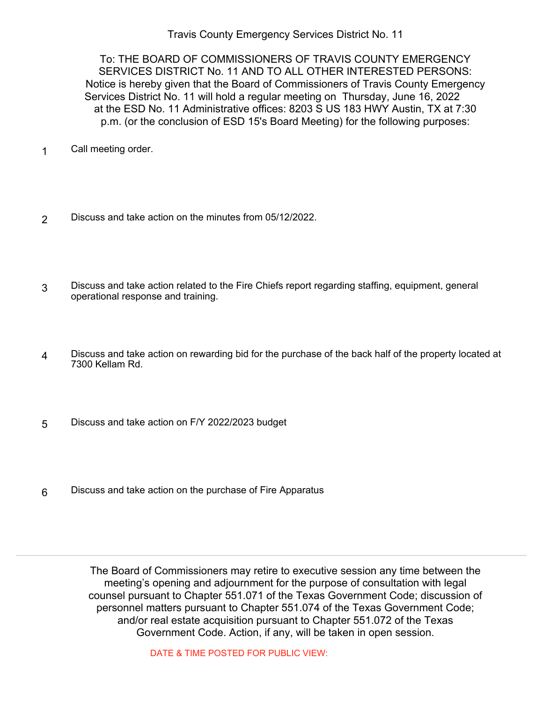Travis County Emergency Services District No. 11

To: THE BOARD OF COMMISSIONERS OF TRAVIS COUNTY EMERGENCY SERVICES DISTRICT No. 11 AND TO ALL OTHER INTERESTED PERSONS: Notice is hereby given that the Board of Commissioners of Travis County Emergency Services District No. 11 will hold a regular meeting on Thursday, June 16, 2022 at the ESD No. 11 Administrative offices: 8203 S US 183 HWY Austin, TX at 7:30 p.m. (or the conclusion of ESD 15's Board Meeting) for the following purposes:

- 1 Call meeting order.
- 2 Discuss and take action on the minutes from 05/12/2022.
- Discuss and take action related to the Fire Chiefs report regarding staffing, equipment, general operational response and training. 3
- Discuss and take action on rewarding bid for the purchase of the back half of the property located at 7300 Kellam Rd. 4
- 5 Discuss and take action on F/Y 2022/2023 budget
- 6 Discuss and take action on the purchase of Fire Apparatus

The Board of Commissioners may retire to executive session any time between the meeting's opening and adjournment for the purpose of consultation with legal counsel pursuant to Chapter 551.071 of the Texas Government Code; discussion of personnel matters pursuant to Chapter 551.074 of the Texas Government Code; and/or real estate acquisition pursuant to Chapter 551.072 of the Texas Government Code. Action, if any, will be taken in open session.